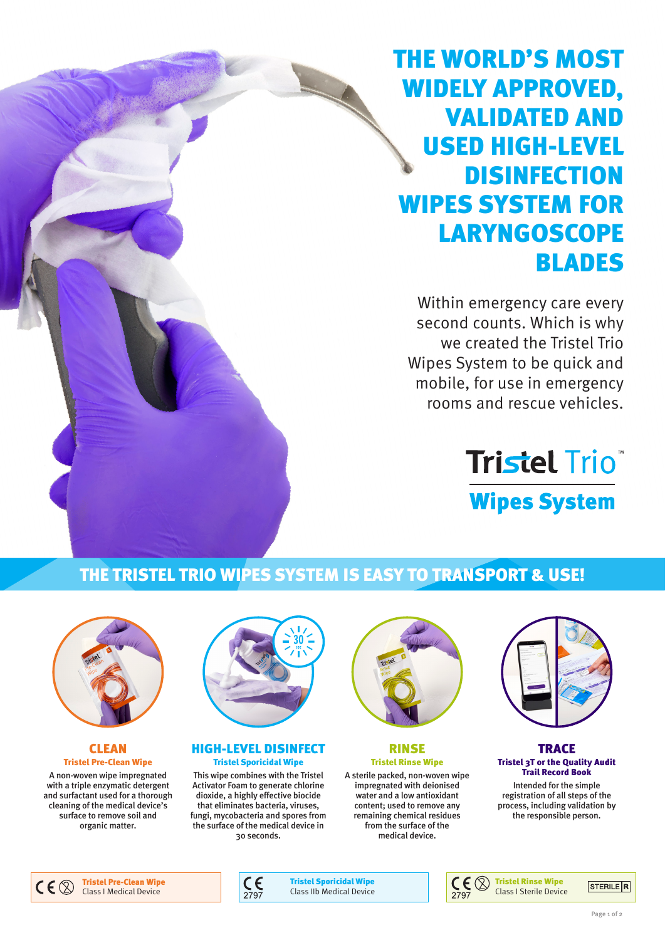# THE WORLD'S MOST WIDELY APPROVED, VALIDATED AND USED HIGH-LEVEL **DISINFECTION** WIPES SYSTEM FOR **LARYNGOSCOPE** BLADES

Within emergency care every second counts. Which is why we created the Tristel Trio Wipes System to be quick and mobile, for use in emergency rooms and rescue vehicles.

# **Tristel Trio Wipes System**

# THE TRISTEL TRIO WIPES SYSTEM IS EASY TO TRANSPORT & USE!



#### **CLEAN** Tristel Pre-Clean Wipe

A non-woven wipe impregnated with a triple enzymatic detergent and surfactant used for a thorough cleaning of the medical device's surface to remove soil and organic matter.



#### HIGH-LEVEL DISINFECT Tristel Sporicidal Wipe

This wipe combines with the Tristel Activator Foam to generate chlorine dioxide, a highly effective biocide that eliminates bacteria, viruses, fungi, mycobacteria and spores from the surface of the medical device in 30 seconds.



RINSE Tristel Rinse Wipe

A sterile packed, non-woven wipe impregnated with deionised water and a low antioxidant content; used to remove any remaining chemical residues from the surface of the medical device.



**TRACE** Tristel 3T or the Quality Audit Trail Record Book

Intended for the simple registration of all steps of the process, including validation by the responsible person.





Tristel Sporicidal Wipe Class IIb Medical Device